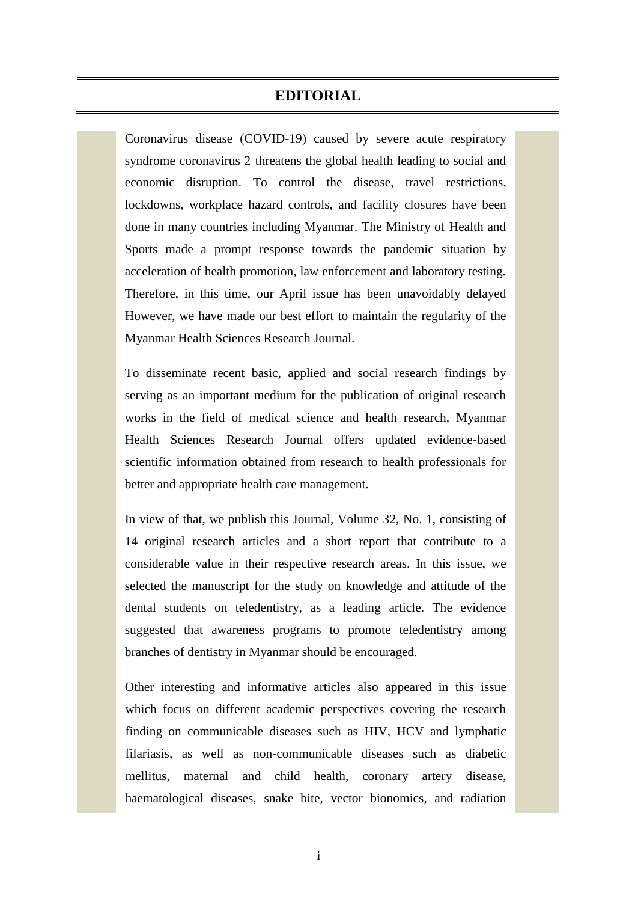## **EDITORIAL**

Coronavirus disease (COVID-19) caused by severe acute respiratory syndrome coronavirus 2 threatens the global health leading to social and economic disruption. To control the disease, travel restrictions, lockdowns, workplace hazard controls, and facility closures have been done in many countries including Myanmar. The Ministry of Health and Sports made a prompt response towards the pandemic situation by acceleration of health promotion, law enforcement and laboratory testing. Therefore, in this time, our April issue has been unavoidably delayed However, we have made our best effort to maintain the regularity of the Myanmar Health Sciences Research Journal.

To disseminate recent basic, applied and social research findings by serving as an important medium for the publication of original research works in the field of medical science and health research, Myanmar Health Sciences Research Journal offers updated evidence-based scientific information obtained from research to health professionals for better and appropriate health care management.

In view of that, we publish this Journal, Volume 32, No. 1, consisting of 14 original research articles and a short report that contribute to a considerable value in their respective research areas. In this issue, we selected the manuscript for the study on knowledge and attitude of the dental students on teledentistry, as a leading article. The evidence suggested that awareness programs to promote teledentistry among branches of dentistry in Myanmar should be encouraged.

Other interesting and informative articles also appeared in this issue which focus on different academic perspectives covering the research finding on communicable diseases such as HIV, HCV and lymphatic filariasis, as well as non-communicable diseases such as diabetic mellitus, maternal and child health, coronary artery disease, haematological diseases, snake bite, vector bionomics, and radiation